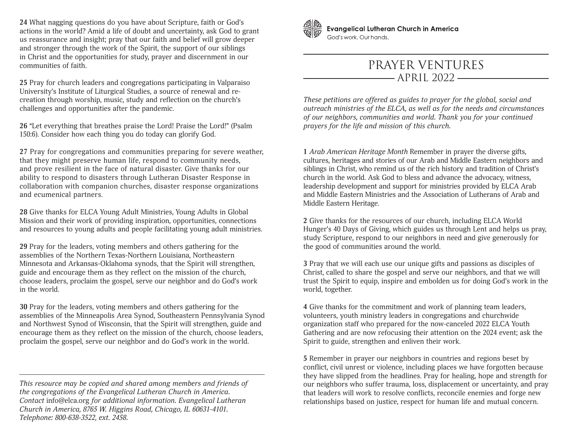**24** What nagging questions do you have about Scripture, faith or God's actions in the world? Amid a life of doubt and uncertainty, ask God to grant us reassurance and insight; pray that our faith and belief will grow deeper and stronger through the work of the Spirit, the support of our siblings in Christ and the opportunities for study, prayer and discernment in our communities of faith.

**25** Pray for church leaders and congregations participating in Valparaiso University's Institute of Liturgical Studies, a source of renewal and recreation through worship, music, study and reflection on the church's challenges and opportunities after the pandemic.

**26** "Let everything that breathes praise the Lord! Praise the Lord!" (Psalm 150:6). Consider how each thing you do today can glorify God.

**27** Pray for congregations and communities preparing for severe weather, that they might preserve human life, respond to community needs, and prove resilient in the face of natural disaster. Give thanks for our ability to respond to disasters through Lutheran Disaster Response in collaboration with companion churches, disaster response organizations and ecumenical partners.

**28** Give thanks for ELCA Young Adult Ministries, Young Adults in Global Mission and their work of providing inspiration, opportunities, connections and resources to young adults and people facilitating young adult ministries.

**29** Pray for the leaders, voting members and others gathering for the assemblies of the Northern Texas-Northern Louisiana, Northeastern Minnesota and Arkansas-Oklahoma synods, that the Spirit will strengthen, guide and encourage them as they reflect on the mission of the church, choose leaders, proclaim the gospel, serve our neighbor and do God's work in the world.

**30** Pray for the leaders, voting members and others gathering for the assemblies of the Minneapolis Area Synod, Southeastern Pennsylvania Synod and Northwest Synod of Wisconsin, that the Spirit will strengthen, guide and encourage them as they reflect on the mission of the church, choose leaders, proclaim the gospel, serve our neighbor and do God's work in the world.



**Evangelical Lutheran Church in America** God's work, Our hands.

## PRAYER VENTURES - APRIL 2022 -

*These petitions are offered as guides to prayer for the global, social and outreach ministries of the ELCA, as well as for the needs and circumstances of our neighbors, communities and world. Thank you for your continued prayers for the life and mission of this church.*

**1** *Arab American Heritage Month* Remember in prayer the diverse gifts, cultures, heritages and stories of our Arab and Middle Eastern neighbors and siblings in Christ, who remind us of the rich history and tradition of Christ's church in the world. Ask God to bless and advance the advocacy, witness, leadership development and support for ministries provided by ELCA Arab and Middle Eastern Ministries and the Association of Lutherans of Arab and Middle Eastern Heritage.

**2** Give thanks for the resources of our church, including ELCA World Hunger's 40 Days of Giving, which guides us through Lent and helps us pray, study Scripture, respond to our neighbors in need and give generously for the good of communities around the world.

**3** Pray that we will each use our unique gifts and passions as disciples of Christ, called to share the gospel and serve our neighbors, and that we will trust the Spirit to equip, inspire and embolden us for doing God's work in the world, together.

**4** Give thanks for the commitment and work of planning team leaders, volunteers, youth ministry leaders in congregations and churchwide organization staff who prepared for the now-canceled 2022 ELCA Youth Gathering and are now refocusing their attention on the 2024 event; ask the Spirit to guide, strengthen and enliven their work.

**5** Remember in prayer our neighbors in countries and regions beset by conflict, civil unrest or violence, including places we have forgotten because they have slipped from the headlines. Pray for healing, hope and strength for our neighbors who suffer trauma, loss, displacement or uncertainty, and pray that leaders will work to resolve conflicts, reconcile enemies and forge new relationships based on justice, respect for human life and mutual concern.

*This resource may be copied and shared among members and friends of the congregations of the Evangelical Lutheran Church in America. Contact* info@elca.org *for additional information. Evangelical Lutheran Church in America, 8765 W. Higgins Road, Chicago, IL 60631-4101. Telephone: 800-638-3522, ext. 2458.*